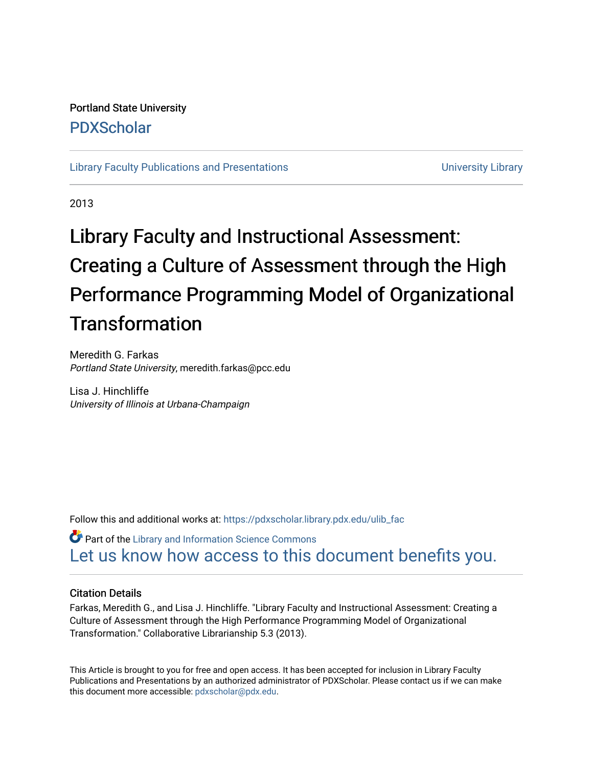### Portland State University [PDXScholar](https://pdxscholar.library.pdx.edu/)

[Library Faculty Publications and Presentations](https://pdxscholar.library.pdx.edu/ulib_fac) **Exercise 20 and Exercise 20 and Exercise** University Library

2013

# Library Faculty and Instructional Assessment: Creating a Culture of Assessment through the High Performance Programming Model of Organizational **Transformation**

Meredith G. Farkas Portland State University, meredith.farkas@pcc.edu

Lisa J. Hinchliffe University of Illinois at Urbana-Champaign

Follow this and additional works at: [https://pdxscholar.library.pdx.edu/ulib\\_fac](https://pdxscholar.library.pdx.edu/ulib_fac?utm_source=pdxscholar.library.pdx.edu%2Fulib_fac%2F134&utm_medium=PDF&utm_campaign=PDFCoverPages) 

**Part of the Library and Information Science Commons** [Let us know how access to this document benefits you.](http://library.pdx.edu/services/pdxscholar-services/pdxscholar-feedback/?ref=https://pdxscholar.library.pdx.edu/ulib_fac/134) 

#### Citation Details

Farkas, Meredith G., and Lisa J. Hinchliffe. "Library Faculty and Instructional Assessment: Creating a Culture of Assessment through the High Performance Programming Model of Organizational Transformation." Collaborative Librarianship 5.3 (2013).

This Article is brought to you for free and open access. It has been accepted for inclusion in Library Faculty Publications and Presentations by an authorized administrator of PDXScholar. Please contact us if we can make this document more accessible: [pdxscholar@pdx.edu.](mailto:pdxscholar@pdx.edu)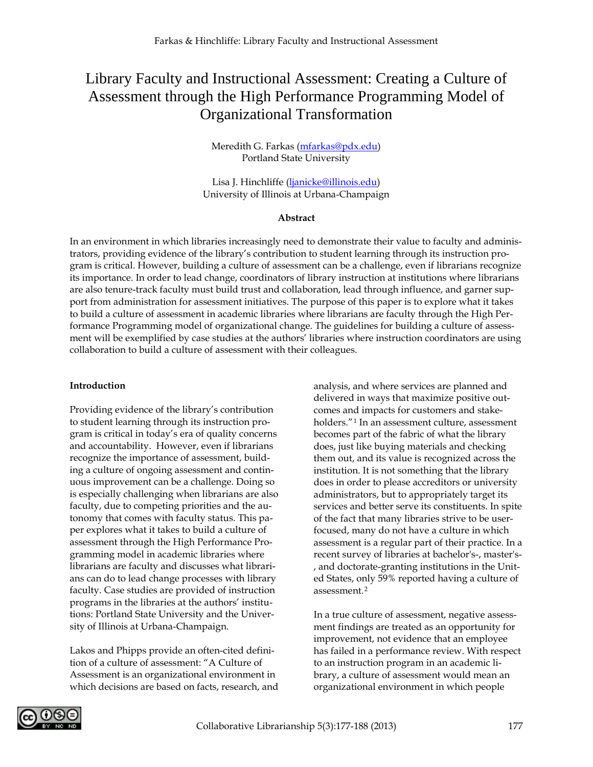## Library Faculty and Instructional Assessment: Creating a Culture of Assessment through the High Performance Programming Model of Organizational Transformation

Meredith G. Farkas [\(mfarkas@pdx.edu\)](mailto:mfarkas@pdx.edu) Portland State University

Lisa J. Hinchliffe [\(ljanicke@illinois.edu\)](mailto:ljanicke@illinois.edu) University of Illinois at Urbana-Champaign

#### **Abstract**

In an environment in which libraries increasingly need to demonstrate their value to faculty and administrators, providing evidence of the library's contribution to student learning through its instruction program is critical. However, building a culture of assessment can be a challenge, even if librarians recognize its importance. In order to lead change, coordinators of library instruction at institutions where librarians are also tenure-track faculty must build trust and collaboration, lead through influence, and garner support from administration for assessment initiatives. The purpose of this paper is to explore what it takes to build a culture of assessment in academic libraries where librarians are faculty through the High Performance Programming model of organizational change. The guidelines for building a culture of assessment will be exemplified by case studies at the authors' libraries where instruction coordinators are using collaboration to build a culture of assessment with their colleagues.

#### **Introduction**

Providing evidence of the library's contribution to student learning through its instruction program is critical in today's era of quality concerns and accountability. However, even if librarians recognize the importance of assessment, building a culture of ongoing assessment and continuous improvement can be a challenge. Doing so is especially challenging when librarians are also faculty, due to competing priorities and the autonomy that comes with faculty status. This paper explores what it takes to build a culture of assessment through the High Performance Programming model in academic libraries where librarians are faculty and discusses what librarians can do to lead change processes with library faculty. Case studies are provided of instruction programs in the libraries at the authors' institutions: Portland State University and the University of Illinois at Urbana-Champaign.

Lakos and Phipps provide an often-cited definition of a culture of assessment: "A Culture of Assessment is an organizational environment in which decisions are based on facts, research, and analysis, and where services are planned and delivered in ways that maximize positive outcomes and impacts for customers and stake-holders."<sup>[1](#page-12-0)</sup> In an assessment culture, assessment becomes part of the fabric of what the library does, just like buying materials and checking them out, and its value is recognized across the institution. It is not something that the library does in order to please accreditors or university administrators, but to appropriately target its services and better serve its constituents. In spite of the fact that many libraries strive to be userfocused, many do not have a culture in which assessment is a regular part of their practice. In a recent survey of libraries at bachelor's-, master's- , and doctorate-granting institutions in the United States, only 59% reported having a culture of assessment.[2](#page-12-1)

In a true culture of assessment, negative assessment findings are treated as an opportunity for improvement, not evidence that an employee has failed in a performance review. With respect to an instruction program in an academic library, a culture of assessment would mean an organizational environment in which people

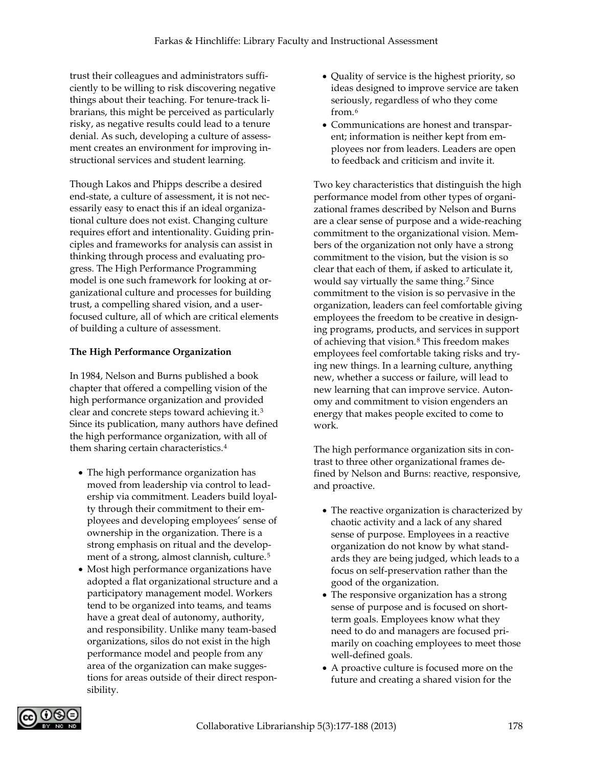trust their colleagues and administrators sufficiently to be willing to risk discovering negative things about their teaching. For tenure-track librarians, this might be perceived as particularly risky, as negative results could lead to a tenure denial. As such, developing a culture of assessment creates an environment for improving instructional services and student learning.

Though Lakos and Phipps describe a desired end-state, a culture of assessment, it is not necessarily easy to enact this if an ideal organizational culture does not exist. Changing culture requires effort and intentionality. Guiding principles and frameworks for analysis can assist in thinking through process and evaluating progress. The High Performance Programming model is one such framework for looking at organizational culture and processes for building trust, a compelling shared vision, and a userfocused culture, all of which are critical elements of building a culture of assessment.

#### **The High Performance Organization**

In 1984, Nelson and Burns published a book chapter that offered a compelling vision of the high performance organization and provided clear and concrete steps toward achieving it.3 Since its publication, many authors have defined the high performance organization, with all of them sharing certain characteristics.4

- The high performance organization has moved from leadership via control to leadership via commitment. Leaders build loyalty through their commitment to their employees and developing employees' sense of ownership in the organization. There is a strong emphasis on ritual and the development of a strong, almost clannish, culture.<sup>5</sup>
- Most high performance organizations have adopted a flat organizational structure and a participatory management model. Workers tend to be organized into teams, and teams have a great deal of autonomy, authority, and responsibility. Unlike many team-based organizations, silos do not exist in the high performance model and people from any area of the organization can make suggestions for areas outside of their direct responsibility.
- Quality of service is the highest priority, so ideas designed to improve service are taken seriously, regardless of who they come from.6
- Communications are honest and transparent; information is neither kept from employees nor from leaders. Leaders are open to feedback and criticism and invite it.

Two key characteristics that distinguish the high performance model from other types of organizational frames described by Nelson and Burns are a clear sense of purpose and a wide-reaching commitment to the organizational vision. Members of the organization not only have a strong commitment to the vision, but the vision is so clear that each of them, if asked to articulate it, would say virtually the same thing.7 Since commitment to the vision is so pervasive in the organization, leaders can feel comfortable giving employees the freedom to be creative in designing programs, products, and services in support of achieving that vision.8 This freedom makes employees feel comfortable taking risks and trying new things. In a learning culture, anything new, whether a success or failure, will lead to new learning that can improve service. Autonomy and commitment to vision engenders an energy that makes people excited to come to work.

The high performance organization sits in contrast to three other organizational frames defined by Nelson and Burns: reactive, responsive, and proactive.

- The reactive organization is characterized by chaotic activity and a lack of any shared sense of purpose. Employees in a reactive organization do not know by what standards they are being judged, which leads to a focus on self-preservation rather than the good of the organization.
- The responsive organization has a strong sense of purpose and is focused on shortterm goals. Employees know what they need to do and managers are focused primarily on coaching employees to meet those well-defined goals.
- A proactive culture is focused more on the future and creating a shared vision for the

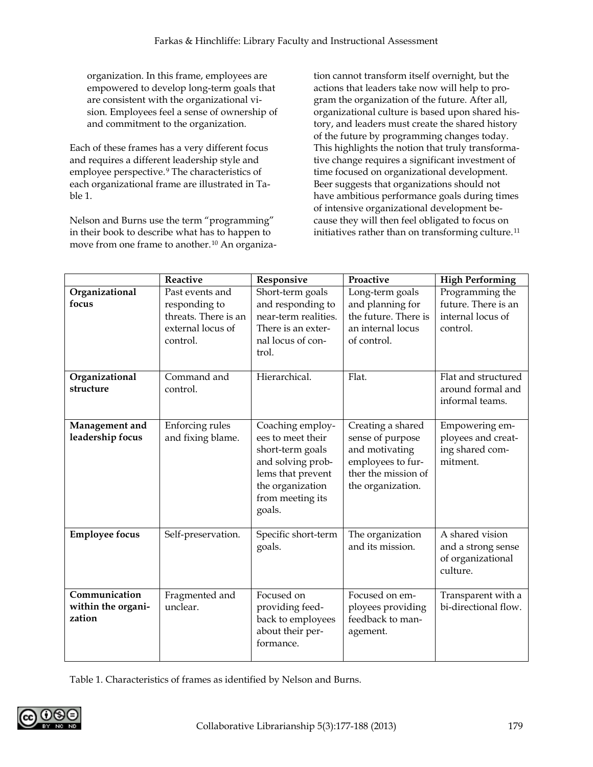organization. In this frame, employees are empowered to develop long-term goals that are consistent with the organizational vision. Employees feel a sense of ownership of and commitment to the organization.

Each of these frames has a very different focus and requires a different leadership style and employee perspective.9 The characteristics of each organizational frame are illustrated in Table 1.

Nelson and Burns use the term "programming" in their book to describe what has to happen to move from one frame to another.10 An organiza-

tion cannot transform itself overnight, but the actions that leaders take now will help to program the organization of the future. After all, organizational culture is based upon shared history, and leaders must create the shared history of the future by programming changes today. This highlights the notion that truly transformative change requires a significant investment of time focused on organizational development. Beer suggests that organizations should not have ambitious performance goals during times of intensive organizational development because they will then feel obligated to focus on initiatives rather than on transforming culture.<sup>11</sup>

|                                               | Reactive                                                                                  | Responsive                                                                                                                                            | Proactive                                                                                                                | <b>High Performing</b>                                                  |
|-----------------------------------------------|-------------------------------------------------------------------------------------------|-------------------------------------------------------------------------------------------------------------------------------------------------------|--------------------------------------------------------------------------------------------------------------------------|-------------------------------------------------------------------------|
| Organizational<br>focus                       | Past events and<br>responding to<br>threats. There is an<br>external locus of<br>control. | Short-term goals<br>and responding to<br>near-term realities.<br>There is an exter-<br>nal locus of con-<br>trol.                                     | Long-term goals<br>and planning for<br>the future. There is<br>an internal locus<br>of control.                          | Programming the<br>future. There is an<br>internal locus of<br>control. |
| Organizational<br>structure                   | Command and<br>control.                                                                   | Hierarchical.                                                                                                                                         | Flat.                                                                                                                    | Flat and structured<br>around formal and<br>informal teams.             |
| Management and<br>leadership focus            | Enforcing rules<br>and fixing blame.                                                      | Coaching employ-<br>ees to meet their<br>short-term goals<br>and solving prob-<br>lems that prevent<br>the organization<br>from meeting its<br>goals. | Creating a shared<br>sense of purpose<br>and motivating<br>employees to fur-<br>ther the mission of<br>the organization. | Empowering em-<br>ployees and creat-<br>ing shared com-<br>mitment.     |
| <b>Employee focus</b>                         | Self-preservation.                                                                        | Specific short-term<br>goals.                                                                                                                         | The organization<br>and its mission.                                                                                     | A shared vision<br>and a strong sense<br>of organizational<br>culture.  |
| Communication<br>within the organi-<br>zation | Fragmented and<br>unclear.                                                                | Focused on<br>providing feed-<br>back to employees<br>about their per-<br>formance.                                                                   | Focused on em-<br>ployees providing<br>feedback to man-<br>agement.                                                      | Transparent with a<br>bi-directional flow.                              |

Table 1. Characteristics of frames as identified by Nelson and Burns.

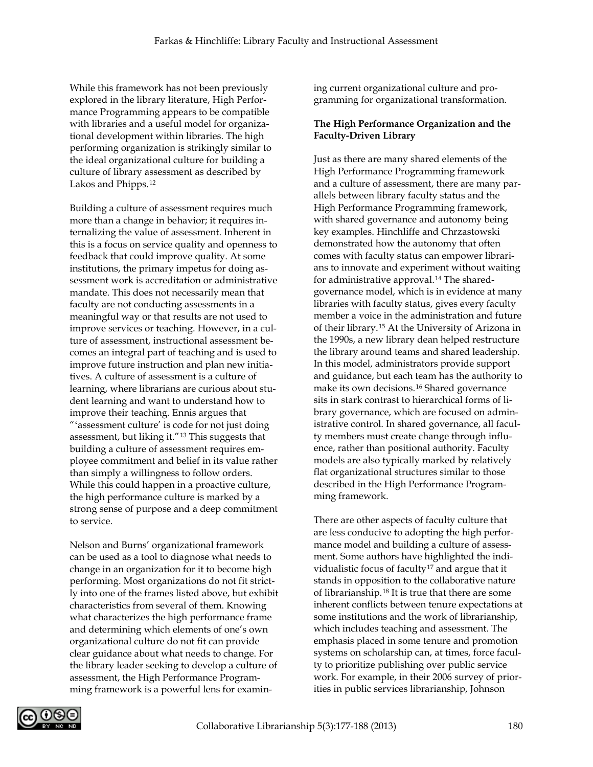While this framework has not been previously explored in the library literature, High Performance Programming appears to be compatible with libraries and a useful model for organizational development within libraries. The high performing organization is strikingly similar to the ideal organizational culture for building a culture of library assessment as described by Lakos and Phipps.12

Building a culture of assessment requires much more than a change in behavior; it requires internalizing the value of assessment. Inherent in this is a focus on service quality and openness to feedback that could improve quality. At some institutions, the primary impetus for doing assessment work is accreditation or administrative mandate. This does not necessarily mean that faculty are not conducting assessments in a meaningful way or that results are not used to improve services or teaching. However, in a culture of assessment, instructional assessment becomes an integral part of teaching and is used to improve future instruction and plan new initiatives. A culture of assessment is a culture of learning, where librarians are curious about student learning and want to understand how to improve their teaching. Ennis argues that "ʻassessment culture' is code for not just doing assessment, but liking it."13 This suggests that building a culture of assessment requires employee commitment and belief in its value rather than simply a willingness to follow orders. While this could happen in a proactive culture, the high performance culture is marked by a strong sense of purpose and a deep commitment to service.

Nelson and Burns' organizational framework can be used as a tool to diagnose what needs to change in an organization for it to become high performing. Most organizations do not fit strictly into one of the frames listed above, but exhibit characteristics from several of them. Knowing what characterizes the high performance frame and determining which elements of one's own organizational culture do not fit can provide clear guidance about what needs to change. For the library leader seeking to develop a culture of assessment, the High Performance Programming framework is a powerful lens for examining current organizational culture and programming for organizational transformation.

#### **The High Performance Organization and the Faculty-Driven Library**

Just as there are many shared elements of the High Performance Programming framework and a culture of assessment, there are many parallels between library faculty status and the High Performance Programming framework, with shared governance and autonomy being key examples. Hinchliffe and Chrzastowski demonstrated how the autonomy that often comes with faculty status can empower librarians to innovate and experiment without waiting for administrative approval.<sup>14</sup> The sharedgovernance model, which is in evidence at many libraries with faculty status, gives every faculty member a voice in the administration and future of their library.15 At the University of Arizona in the 1990s, a new library dean helped restructure the library around teams and shared leadership. In this model, administrators provide support and guidance, but each team has the authority to make its own decisions.16 Shared governance sits in stark contrast to hierarchical forms of library governance, which are focused on administrative control. In shared governance, all faculty members must create change through influence, rather than positional authority. Faculty models are also typically marked by relatively flat organizational structures similar to those described in the High Performance Programming framework.

There are other aspects of faculty culture that are less conducive to adopting the high performance model and building a culture of assessment. Some authors have highlighted the individualistic focus of faculty<sup>17</sup> and argue that it stands in opposition to the collaborative nature of librarianship.18 It is true that there are some inherent conflicts between tenure expectations at some institutions and the work of librarianship, which includes teaching and assessment. The emphasis placed in some tenure and promotion systems on scholarship can, at times, force faculty to prioritize publishing over public service work. For example, in their 2006 survey of priorities in public services librarianship, Johnson

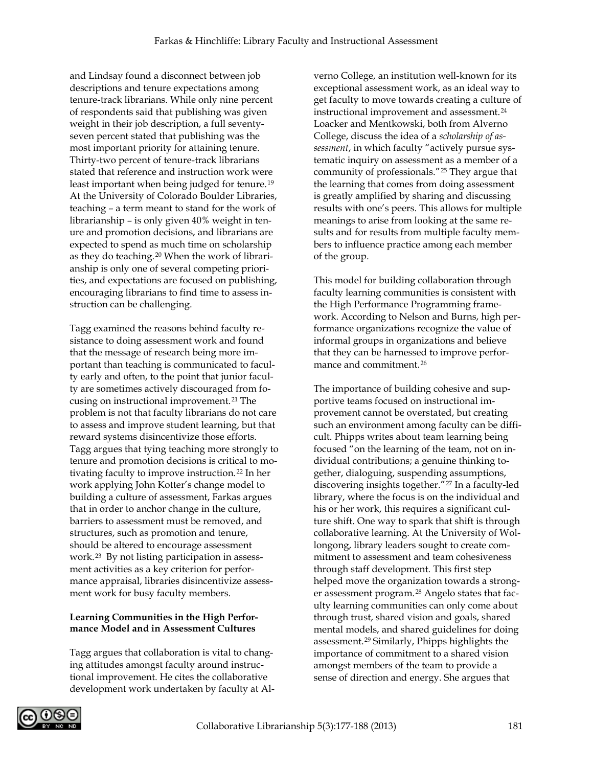and Lindsay found a disconnect between job descriptions and tenure expectations among tenure-track librarians. While only nine percent of respondents said that publishing was given weight in their job description, a full seventyseven percent stated that publishing was the most important priority for attaining tenure. Thirty-two percent of tenure-track librarians stated that reference and instruction work were least important when being judged for tenure.19 At the University of Colorado Boulder Libraries, teaching – a term meant to stand for the work of librarianship – is only given 40% weight in tenure and promotion decisions, and librarians are expected to spend as much time on scholarship as they do teaching.20 When the work of librarianship is only one of several competing priorities, and expectations are focused on publishing, encouraging librarians to find time to assess instruction can be challenging.

Tagg examined the reasons behind faculty resistance to doing assessment work and found that the message of research being more important than teaching is communicated to faculty early and often, to the point that junior faculty are sometimes actively discouraged from focusing on instructional improvement.<sup>21</sup> The problem is not that faculty librarians do not care to assess and improve student learning, but that reward systems disincentivize those efforts. Tagg argues that tying teaching more strongly to tenure and promotion decisions is critical to motivating faculty to improve instruction.<sup>22</sup> In her work applying John Kotter's change model to building a culture of assessment, Farkas argues that in order to anchor change in the culture, barriers to assessment must be removed, and structures, such as promotion and tenure, should be altered to encourage assessment work.23 By not listing participation in assessment activities as a key criterion for performance appraisal, libraries disincentivize assessment work for busy faculty members.

#### **Learning Communities in the High Performance Model and in Assessment Cultures**

Tagg argues that collaboration is vital to changing attitudes amongst faculty around instructional improvement. He cites the collaborative development work undertaken by faculty at Alverno College, an institution well-known for its exceptional assessment work, as an ideal way to get faculty to move towards creating a culture of instructional improvement and assessment.24 Loacker and Mentkowski, both from Alverno College, discuss the idea of a *scholarship of assessment*, in which faculty "actively pursue systematic inquiry on assessment as a member of a community of professionals."25 They argue that the learning that comes from doing assessment is greatly amplified by sharing and discussing results with one's peers. This allows for multiple meanings to arise from looking at the same results and for results from multiple faculty members to influence practice among each member of the group.

This model for building collaboration through faculty learning communities is consistent with the High Performance Programming framework. According to Nelson and Burns, high performance organizations recognize the value of informal groups in organizations and believe that they can be harnessed to improve performance and commitment.26

The importance of building cohesive and supportive teams focused on instructional improvement cannot be overstated, but creating such an environment among faculty can be difficult. Phipps writes about team learning being focused "on the learning of the team, not on individual contributions; a genuine thinking together, dialoguing, suspending assumptions, discovering insights together."27 In a faculty-led library, where the focus is on the individual and his or her work, this requires a significant culture shift. One way to spark that shift is through collaborative learning. At the University of Wollongong, library leaders sought to create commitment to assessment and team cohesiveness through staff development. This first step helped move the organization towards a stronger assessment program.<sup>28</sup> Angelo states that faculty learning communities can only come about through trust, shared vision and goals, shared mental models, and shared guidelines for doing assessment.29 Similarly, Phipps highlights the importance of commitment to a shared vision amongst members of the team to provide a sense of direction and energy. She argues that

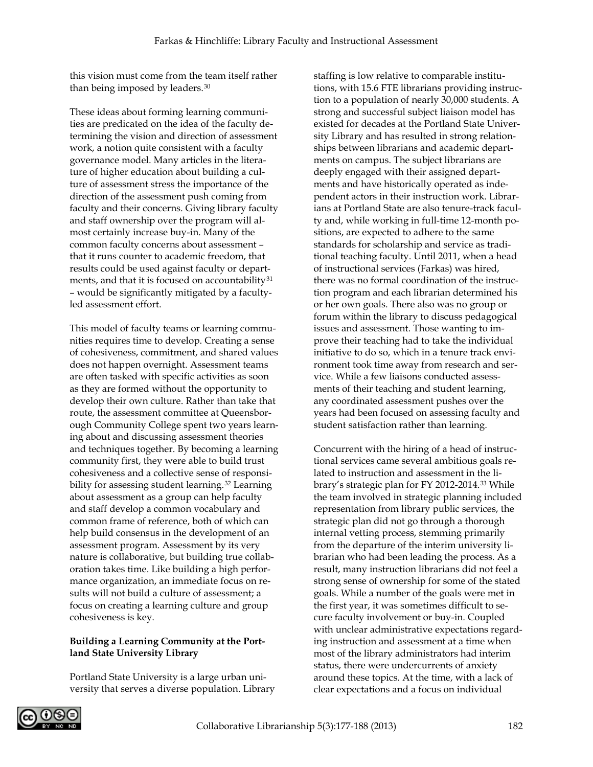this vision must come from the team itself rather than being imposed by leaders.<sup>30</sup>

These ideas about forming learning communities are predicated on the idea of the faculty determining the vision and direction of assessment work, a notion quite consistent with a faculty governance model. Many articles in the literature of higher education about building a culture of assessment stress the importance of the direction of the assessment push coming from faculty and their concerns. Giving library faculty and staff ownership over the program will almost certainly increase buy-in. Many of the common faculty concerns about assessment – that it runs counter to academic freedom, that results could be used against faculty or departments, and that it is focused on accountability<sup>31</sup> – would be significantly mitigated by a facultyled assessment effort.

This model of faculty teams or learning communities requires time to develop. Creating a sense of cohesiveness, commitment, and shared values does not happen overnight. Assessment teams are often tasked with specific activities as soon as they are formed without the opportunity to develop their own culture. Rather than take that route, the assessment committee at Queensborough Community College spent two years learning about and discussing assessment theories and techniques together. By becoming a learning community first, they were able to build trust cohesiveness and a collective sense of responsibility for assessing student learning.<sup>32</sup> Learning about assessment as a group can help faculty and staff develop a common vocabulary and common frame of reference, both of which can help build consensus in the development of an assessment program. Assessment by its very nature is collaborative, but building true collaboration takes time. Like building a high performance organization, an immediate focus on results will not build a culture of assessment; a focus on creating a learning culture and group cohesiveness is key.

#### **Building a Learning Community at the Portland State University Library**

Portland State University is a large urban university that serves a diverse population. Library

staffing is low relative to comparable institutions, with 15.6 FTE librarians providing instruction to a population of nearly 30,000 students. A strong and successful subject liaison model has existed for decades at the Portland State University Library and has resulted in strong relationships between librarians and academic departments on campus. The subject librarians are deeply engaged with their assigned departments and have historically operated as independent actors in their instruction work. Librarians at Portland State are also tenure-track faculty and, while working in full-time 12-month positions, are expected to adhere to the same standards for scholarship and service as traditional teaching faculty. Until 2011, when a head of instructional services (Farkas) was hired, there was no formal coordination of the instruction program and each librarian determined his or her own goals. There also was no group or forum within the library to discuss pedagogical issues and assessment. Those wanting to improve their teaching had to take the individual initiative to do so, which in a tenure track environment took time away from research and service. While a few liaisons conducted assessments of their teaching and student learning, any coordinated assessment pushes over the years had been focused on assessing faculty and student satisfaction rather than learning.

Concurrent with the hiring of a head of instructional services came several ambitious goals related to instruction and assessment in the library's strategic plan for FY 2012-2014.33 While the team involved in strategic planning included representation from library public services, the strategic plan did not go through a thorough internal vetting process, stemming primarily from the departure of the interim university librarian who had been leading the process. As a result, many instruction librarians did not feel a strong sense of ownership for some of the stated goals. While a number of the goals were met in the first year, it was sometimes difficult to secure faculty involvement or buy-in. Coupled with unclear administrative expectations regarding instruction and assessment at a time when most of the library administrators had interim status, there were undercurrents of anxiety around these topics. At the time, with a lack of clear expectations and a focus on individual

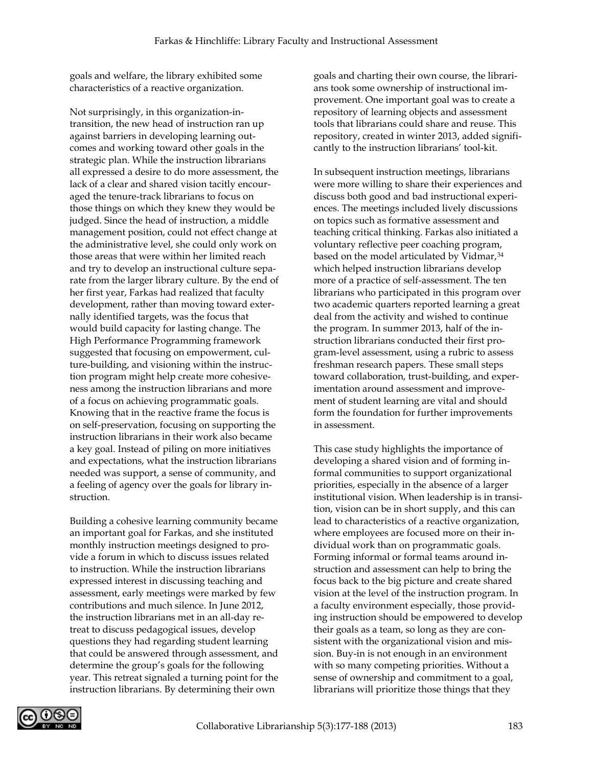goals and welfare, the library exhibited some characteristics of a reactive organization.

Not surprisingly, in this organization-intransition, the new head of instruction ran up against barriers in developing learning outcomes and working toward other goals in the strategic plan. While the instruction librarians all expressed a desire to do more assessment, the lack of a clear and shared vision tacitly encouraged the tenure-track librarians to focus on those things on which they knew they would be judged. Since the head of instruction, a middle management position, could not effect change at the administrative level, she could only work on those areas that were within her limited reach and try to develop an instructional culture separate from the larger library culture. By the end of her first year, Farkas had realized that faculty development, rather than moving toward externally identified targets, was the focus that would build capacity for lasting change. The High Performance Programming framework suggested that focusing on empowerment, culture-building, and visioning within the instruction program might help create more cohesiveness among the instruction librarians and more of a focus on achieving programmatic goals. Knowing that in the reactive frame the focus is on self-preservation, focusing on supporting the instruction librarians in their work also became a key goal. Instead of piling on more initiatives and expectations, what the instruction librarians needed was support, a sense of community, and a feeling of agency over the goals for library instruction.

Building a cohesive learning community became an important goal for Farkas, and she instituted monthly instruction meetings designed to provide a forum in which to discuss issues related to instruction. While the instruction librarians expressed interest in discussing teaching and assessment, early meetings were marked by few contributions and much silence. In June 2012, the instruction librarians met in an all-day retreat to discuss pedagogical issues, develop questions they had regarding student learning that could be answered through assessment, and determine the group's goals for the following year. This retreat signaled a turning point for the instruction librarians. By determining their own

goals and charting their own course, the librarians took some ownership of instructional improvement. One important goal was to create a repository of learning objects and assessment tools that librarians could share and reuse. This repository, created in winter 2013, added significantly to the instruction librarians' tool-kit.

In subsequent instruction meetings, librarians were more willing to share their experiences and discuss both good and bad instructional experiences. The meetings included lively discussions on topics such as formative assessment and teaching critical thinking. Farkas also initiated a voluntary reflective peer coaching program, based on the model articulated by Vidmar, 34 which helped instruction librarians develop more of a practice of self-assessment. The ten librarians who participated in this program over two academic quarters reported learning a great deal from the activity and wished to continue the program. In summer 2013, half of the instruction librarians conducted their first program-level assessment, using a rubric to assess freshman research papers. These small steps toward collaboration, trust-building, and experimentation around assessment and improvement of student learning are vital and should form the foundation for further improvements in assessment.

This case study highlights the importance of developing a shared vision and of forming informal communities to support organizational priorities, especially in the absence of a larger institutional vision. When leadership is in transition, vision can be in short supply, and this can lead to characteristics of a reactive organization, where employees are focused more on their individual work than on programmatic goals. Forming informal or formal teams around instruction and assessment can help to bring the focus back to the big picture and create shared vision at the level of the instruction program. In a faculty environment especially, those providing instruction should be empowered to develop their goals as a team, so long as they are consistent with the organizational vision and mission. Buy-in is not enough in an environment with so many competing priorities. Without a sense of ownership and commitment to a goal, librarians will prioritize those things that they

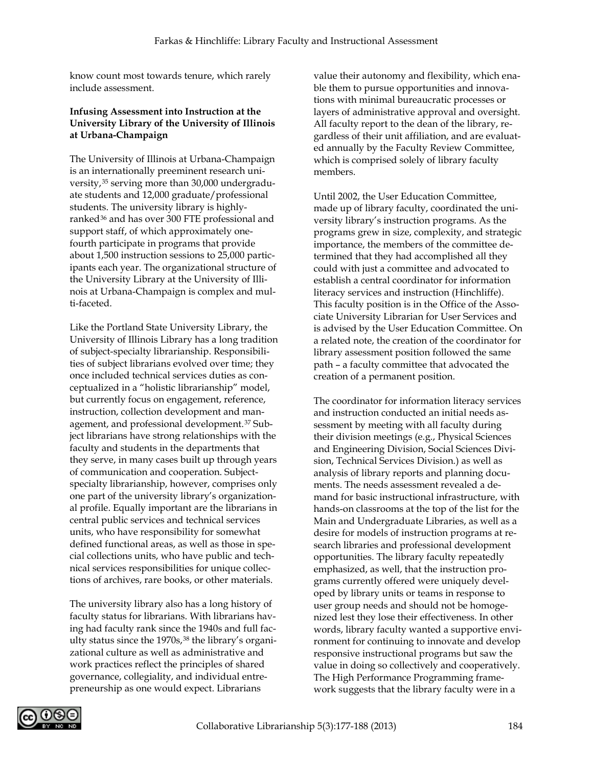know count most towards tenure, which rarely include assessment.

#### **Infusing Assessment into Instruction at the University Library of the University of Illinois at Urbana-Champaign**

The University of Illinois at Urbana-Champaign is an internationally preeminent research university,35 serving more than 30,000 undergraduate students and 12,000 graduate/professional students. The university library is highlyranked<sup>36</sup> and has over 300 FTE professional and support staff, of which approximately onefourth participate in programs that provide about 1,500 instruction sessions to 25,000 participants each year. The organizational structure of the University Library at the University of Illinois at Urbana-Champaign is complex and multi-faceted.

Like the Portland State University Library, the University of Illinois Library has a long tradition of subject-specialty librarianship. Responsibilities of subject librarians evolved over time; they once included technical services duties as conceptualized in a "holistic librarianship" model, but currently focus on engagement, reference, instruction, collection development and management, and professional development.37 Subject librarians have strong relationships with the faculty and students in the departments that they serve, in many cases built up through years of communication and cooperation. Subjectspecialty librarianship, however, comprises only one part of the university library's organizational profile. Equally important are the librarians in central public services and technical services units, who have responsibility for somewhat defined functional areas, as well as those in special collections units, who have public and technical services responsibilities for unique collections of archives, rare books, or other materials.

The university library also has a long history of faculty status for librarians. With librarians having had faculty rank since the 1940s and full faculty status since the 1970s,<sup>38</sup> the library's organizational culture as well as administrative and work practices reflect the principles of shared governance, collegiality, and individual entrepreneurship as one would expect. Librarians

value their autonomy and flexibility, which enable them to pursue opportunities and innovations with minimal bureaucratic processes or layers of administrative approval and oversight. All faculty report to the dean of the library, regardless of their unit affiliation, and are evaluated annually by the Faculty Review Committee, which is comprised solely of library faculty members.

Until 2002, the User Education Committee, made up of library faculty, coordinated the university library's instruction programs. As the programs grew in size, complexity, and strategic importance, the members of the committee determined that they had accomplished all they could with just a committee and advocated to establish a central coordinator for information literacy services and instruction (Hinchliffe). This faculty position is in the Office of the Associate University Librarian for User Services and is advised by the User Education Committee. On a related note, the creation of the coordinator for library assessment position followed the same path – a faculty committee that advocated the creation of a permanent position.

The coordinator for information literacy services and instruction conducted an initial needs assessment by meeting with all faculty during their division meetings (e.g., Physical Sciences and Engineering Division, Social Sciences Division, Technical Services Division.) as well as analysis of library reports and planning documents. The needs assessment revealed a demand for basic instructional infrastructure, with hands-on classrooms at the top of the list for the Main and Undergraduate Libraries, as well as a desire for models of instruction programs at research libraries and professional development opportunities. The library faculty repeatedly emphasized, as well, that the instruction programs currently offered were uniquely developed by library units or teams in response to user group needs and should not be homogenized lest they lose their effectiveness. In other words, library faculty wanted a supportive environment for continuing to innovate and develop responsive instructional programs but saw the value in doing so collectively and cooperatively. The High Performance Programming framework suggests that the library faculty were in a

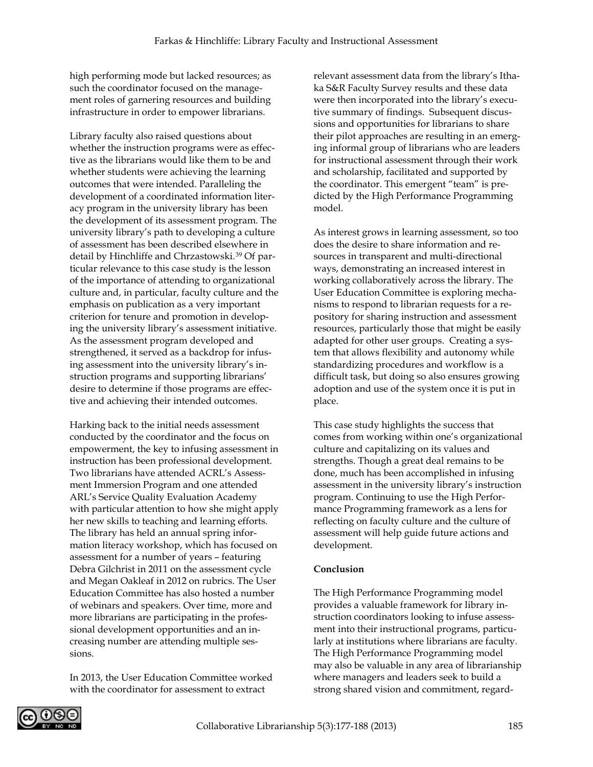high performing mode but lacked resources; as such the coordinator focused on the management roles of garnering resources and building infrastructure in order to empower librarians.

Library faculty also raised questions about whether the instruction programs were as effective as the librarians would like them to be and whether students were achieving the learning outcomes that were intended. Paralleling the development of a coordinated information literacy program in the university library has been the development of its assessment program. The university library's path to developing a culture of assessment has been described elsewhere in detail by Hinchliffe and Chrzastowski.39 Of particular relevance to this case study is the lesson of the importance of attending to organizational culture and, in particular, faculty culture and the emphasis on publication as a very important criterion for tenure and promotion in developing the university library's assessment initiative. As the assessment program developed and strengthened, it served as a backdrop for infusing assessment into the university library's instruction programs and supporting librarians' desire to determine if those programs are effective and achieving their intended outcomes.

Harking back to the initial needs assessment conducted by the coordinator and the focus on empowerment, the key to infusing assessment in instruction has been professional development. Two librarians have attended ACRL's Assessment Immersion Program and one attended ARL's Service Quality Evaluation Academy with particular attention to how she might apply her new skills to teaching and learning efforts. The library has held an annual spring information literacy workshop, which has focused on assessment for a number of years – featuring Debra Gilchrist in 2011 on the assessment cycle and Megan Oakleaf in 2012 on rubrics. The User Education Committee has also hosted a number of webinars and speakers. Over time, more and more librarians are participating in the professional development opportunities and an increasing number are attending multiple sessions.

In 2013, the User Education Committee worked with the coordinator for assessment to extract

relevant assessment data from the library's Ithaka S&R Faculty Survey results and these data were then incorporated into the library's executive summary of findings. Subsequent discussions and opportunities for librarians to share their pilot approaches are resulting in an emerging informal group of librarians who are leaders for instructional assessment through their work and scholarship, facilitated and supported by the coordinator. This emergent "team" is predicted by the High Performance Programming model.

As interest grows in learning assessment, so too does the desire to share information and resources in transparent and multi-directional ways, demonstrating an increased interest in working collaboratively across the library. The User Education Committee is exploring mechanisms to respond to librarian requests for a repository for sharing instruction and assessment resources, particularly those that might be easily adapted for other user groups. Creating a system that allows flexibility and autonomy while standardizing procedures and workflow is a difficult task, but doing so also ensures growing adoption and use of the system once it is put in place.

This case study highlights the success that comes from working within one's organizational culture and capitalizing on its values and strengths. Though a great deal remains to be done, much has been accomplished in infusing assessment in the university library's instruction program. Continuing to use the High Performance Programming framework as a lens for reflecting on faculty culture and the culture of assessment will help guide future actions and development.

#### **Conclusion**

The High Performance Programming model provides a valuable framework for library instruction coordinators looking to infuse assessment into their instructional programs, particularly at institutions where librarians are faculty. The High Performance Programming model may also be valuable in any area of librarianship where managers and leaders seek to build a strong shared vision and commitment, regard-

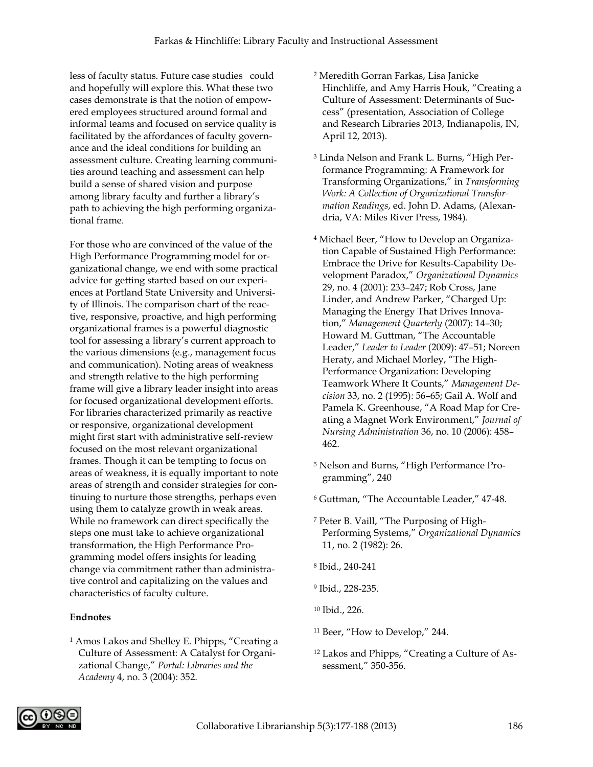less of faculty status. Future case studies could and hopefully will explore this. What these two cases demonstrate is that the notion of empowered employees structured around formal and informal teams and focused on service quality is facilitated by the affordances of faculty governance and the ideal conditions for building an assessment culture. Creating learning communities around teaching and assessment can help build a sense of shared vision and purpose among library faculty and further a library's path to achieving the high performing organizational frame.

For those who are convinced of the value of the High Performance Programming model for organizational change, we end with some practical advice for getting started based on our experiences at Portland State University and University of Illinois. The comparison chart of the reactive, responsive, proactive, and high performing organizational frames is a powerful diagnostic tool for assessing a library's current approach to the various dimensions (e.g., management focus and communication). Noting areas of weakness and strength relative to the high performing frame will give a library leader insight into areas for focused organizational development efforts. For libraries characterized primarily as reactive or responsive, organizational development might first start with administrative self-review focused on the most relevant organizational frames. Though it can be tempting to focus on areas of weakness, it is equally important to note areas of strength and consider strategies for continuing to nurture those strengths, perhaps even using them to catalyze growth in weak areas. While no framework can direct specifically the steps one must take to achieve organizational transformation, the High Performance Programming model offers insights for leading change via commitment rather than administrative control and capitalizing on the values and characteristics of faculty culture.

#### **Endnotes**

<sup>1</sup> Amos Lakos and Shelley E. Phipps, "Creating a Culture of Assessment: A Catalyst for Organizational Change," *Portal: Libraries and the Academy* 4, no. 3 (2004): 352.

- <sup>2</sup> Meredith Gorran Farkas, Lisa Janicke Hinchliffe, and Amy Harris Houk, "Creating a Culture of Assessment: Determinants of Success" (presentation, Association of College and Research Libraries 2013, Indianapolis, IN, April 12, 2013).
- <sup>3</sup> Linda Nelson and Frank L. Burns, "High Performance Programming: A Framework for Transforming Organizations," in *Transforming Work: A Collection of Organizational Transformation Readings*, ed. John D. Adams, (Alexandria, VA: Miles River Press, 1984).
- <sup>4</sup> Michael Beer, "How to Develop an Organization Capable of Sustained High Performance: Embrace the Drive for Results-Capability Development Paradox," *Organizational Dynamics* 29, no. 4 (2001): 233–247; Rob Cross, Jane Linder, and Andrew Parker, "Charged Up: Managing the Energy That Drives Innovation," *Management Quarterly* (2007): 14–30; Howard M. Guttman, "The Accountable Leader," *Leader to Leader* (2009): 47–51; Noreen Heraty, and Michael Morley, "The High-Performance Organization: Developing Teamwork Where It Counts," *Management Decision* 33, no. 2 (1995): 56–65; Gail A. Wolf and Pamela K. Greenhouse, "A Road Map for Creating a Magnet Work Environment," *Journal of Nursing Administration* 36, no. 10 (2006): 458– 462.
- <sup>5</sup> Nelson and Burns, "High Performance Programming", 240
- <sup>6</sup> Guttman, "The Accountable Leader," 47-48.
- <sup>7</sup> Peter B. Vaill, "The Purposing of High-Performing Systems," *Organizational Dynamics* 11, no. 2 (1982): 26.
- <sup>8</sup> Ibid., 240-241
- <sup>9</sup> Ibid., 228-235.
- <sup>10</sup> Ibid., 226.
- <sup>11</sup> Beer, "How to Develop," 244.
- <sup>12</sup> Lakos and Phipps, "Creating a Culture of Assessment," 350-356.

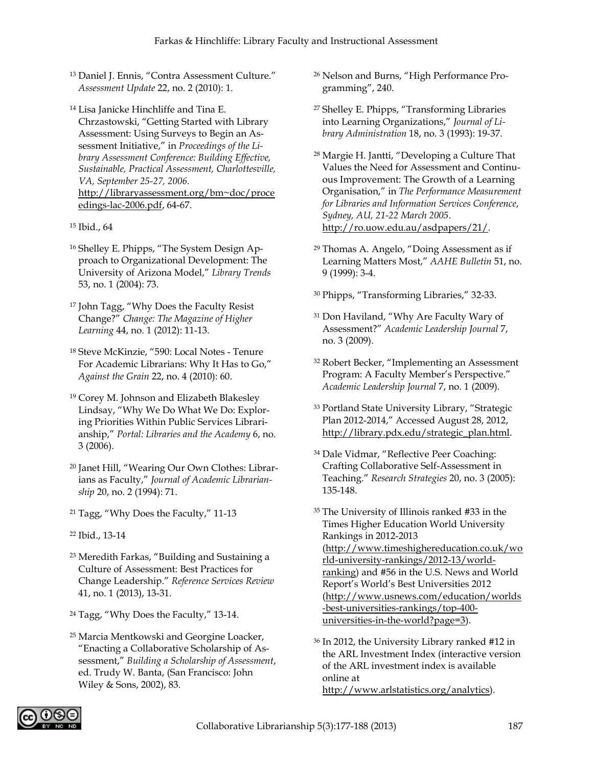- <sup>13</sup> Daniel J. Ennis, "Contra Assessment Culture." *Assessment Update* 22, no. 2 (2010): 1.
- <sup>14</sup> Lisa Janicke Hinchliffe and Tina E. Chrzastowski, "Getting Started with Library Assessment: Using Surveys to Begin an Assessment Initiative," in *Proceedings of the Library Assessment Conference: Building Effective, Sustainable, Practical Assessment, Charlottesville, VA, September 25-27, 2006*. [http://libraryassessment.org/bm~doc/proce](http://libraryassessment.org/bm~doc/proceedings-lac-2006.pdf) [edings-lac-2006.pdf,](http://libraryassessment.org/bm~doc/proceedings-lac-2006.pdf) 64-67.
- <sup>15</sup> Ibid., 64
- <sup>16</sup> Shelley E. Phipps, "The System Design Approach to Organizational Development: The University of Arizona Model," *Library Trends* 53, no. 1 (2004): 73.
- <sup>17</sup> John Tagg, "Why Does the Faculty Resist Change?" *Change: The Magazine of Higher Learning* 44, no. 1 (2012): 11-13.
- <sup>18</sup> Steve McKinzie, "590: Local Notes Tenure For Academic Librarians: Why It Has to Go," *Against the Grain* 22, no. 4 (2010): 60.
- <sup>19</sup> Corey M. Johnson and Elizabeth Blakesley Lindsay, "Why We Do What We Do: Exploring Priorities Within Public Services Librarianship," *Portal: Libraries and the Academy* 6, no. 3 (2006).
- <sup>20</sup> Janet Hill, "Wearing Our Own Clothes: Librarians as Faculty," *Journal of Academic Librarianship* 20, no. 2 (1994): 71.
- <sup>21</sup> Tagg, "Why Does the Faculty," 11-13
- <sup>22</sup> Ibid., 13-14
- <sup>23</sup> Meredith Farkas, "Building and Sustaining a Culture of Assessment: Best Practices for Change Leadership." *Reference Services Review* 41, no. 1 (2013), 13-31.
- <sup>24</sup> Tagg, "Why Does the Faculty," 13-14.
- <sup>25</sup> Marcia Mentkowski and Georgine Loacker, "Enacting a Collaborative Scholarship of Assessment," *Building a Scholarship of Assessment*, ed. Trudy W. Banta, (San Francisco: John Wiley & Sons, 2002), 83.
- <sup>26</sup> Nelson and Burns, "High Performance Programming", 240.
- <sup>27</sup> Shelley E. Phipps, "Transforming Libraries into Learning Organizations," *Journal of Library Administration* 18, no. 3 (1993): 19-37.
- <sup>28</sup> Margie H. Jantti, "Developing a Culture That Values the Need for Assessment and Continuous Improvement: The Growth of a Learning Organisation," in *The Performance Measurement for Libraries and Information Services Conference*, *Sydney, AU, 21-22 March 2005*. [http://ro.uow.edu.au/asdpapers/21/.](http://ro.uow.edu.au/asdpapers/21/)
- <sup>29</sup> Thomas A. Angelo, "Doing Assessment as if Learning Matters Most," *AAHE Bulletin* 51, no. 9 (1999): 3-4.
- <sup>30</sup> Phipps, "Transforming Libraries," 32-33.
- <sup>31</sup> Don Haviland, "Why Are Faculty Wary of Assessment?" *Academic Leadership Journal* 7, no. 3 (2009).
- <sup>32</sup> Robert Becker, "Implementing an Assessment Program: A Faculty Member's Perspective." *Academic Leadership Journal* 7, no. 1 (2009).
- <sup>33</sup> Portland State University Library, "Strategic Plan 2012-2014," Accessed August 28, 2012, [http://library.pdx.edu/strategic\\_plan.html.](http://library.pdx.edu/strategic_plan.html)
- <sup>34</sup> Dale Vidmar, "Reflective Peer Coaching: Crafting Collaborative Self-Assessment in Teaching." *Research Strategies* 20, no. 3 (2005): 135-148.
- <sup>35</sup> The University of Illinois ranked #33 in the Times Higher Education World University Rankings in 2012-2013 [\(http://www.timeshighereducation.co.uk/wo](http://www.timeshighereducation.co.uk/world-university-rankings/2012-13/world-ranking) [rld-university-rankings/2012-13/world](http://www.timeshighereducation.co.uk/world-university-rankings/2012-13/world-ranking)[ranking\)](http://www.timeshighereducation.co.uk/world-university-rankings/2012-13/world-ranking) and #56 in the U.S. News and World Report's World's Best Universities 2012 [\(http://www.usnews.com/education/worlds](http://www.usnews.com/education/worlds-best-universities-rankings/top-400-universities-in-the-world?page=3) [-best-universities-rankings/top-400](http://www.usnews.com/education/worlds-best-universities-rankings/top-400-universities-in-the-world?page=3) [universities-in-the-world?page=3\)](http://www.usnews.com/education/worlds-best-universities-rankings/top-400-universities-in-the-world?page=3).
- <sup>36</sup> In 2012, the University Library ranked #12 in the ARL Investment Index (interactive version of the ARL investment index is available online at [http://www.arlstatistics.org/analytics\)](http://www.arlstatistics.org/analytics).